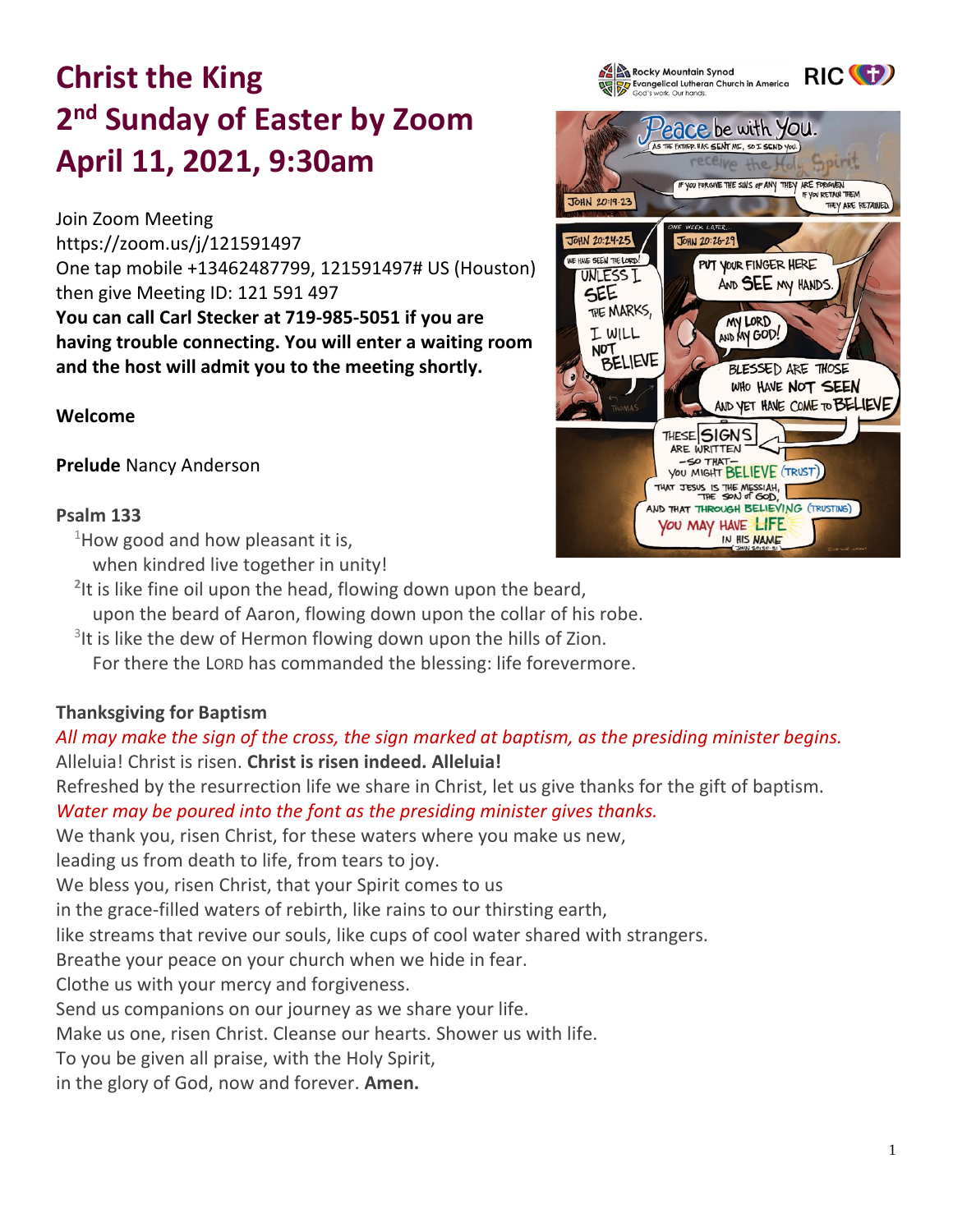# **Christ the King 2 nd Sunday of Easter by Zoom April 11, 2021, 9:30am**

Join Zoom Meeting <https://zoom.us/j/121591497> One tap mobile +13462487799, 121591497# US (Houston) then give Meeting ID: 121 591 497 **You can call Carl Stecker at 719-985-5051 if you are having trouble connecting. You will enter a waiting room and the host will admit you to the meeting shortly.** 

# **Welcome**

**Prelude** Nancy Anderson

# **Psalm 133**

 $1$ How good and how pleasant it is,

- when kindred live together in unity!
- **2** It is like fine oil upon the head, flowing down upon the beard,
- upon the beard of Aaron, flowing down upon the collar of his robe.
- $3$ It is like the dew of Hermon flowing down upon the hills of Zion.
	- For there the LORD has commanded the blessing: life forevermore.

# **Thanksgiving for Baptism**

# *All may make the sign of the cross, the sign marked at baptism, as the presiding minister begins.* Alleluia! Christ is risen. **Christ is risen indeed. Alleluia!**

Refreshed by the resurrection life we share in Christ, let us give thanks for the gift of baptism.

*Water may be poured into the font as the presiding minister gives thanks.*

We thank you, risen Christ, for these waters where you make us new,

leading us from death to life, from tears to joy.

We bless you, risen Christ, that your Spirit comes to us

in the grace-filled waters of rebirth, like rains to our thirsting earth,

like streams that revive our souls, like cups of cool water shared with strangers.

Breathe your peace on your church when we hide in fear.

Clothe us with your mercy and forgiveness.

Send us companions on our journey as we share your life.

Make us one, risen Christ. Cleanse our hearts. Shower us with life.

To you be given all praise, with the Holy Spirit,

in the glory of God, now and forever. **Amen.**



RIC<sup>(+</sup>

**A By Rocky Mountain Synod**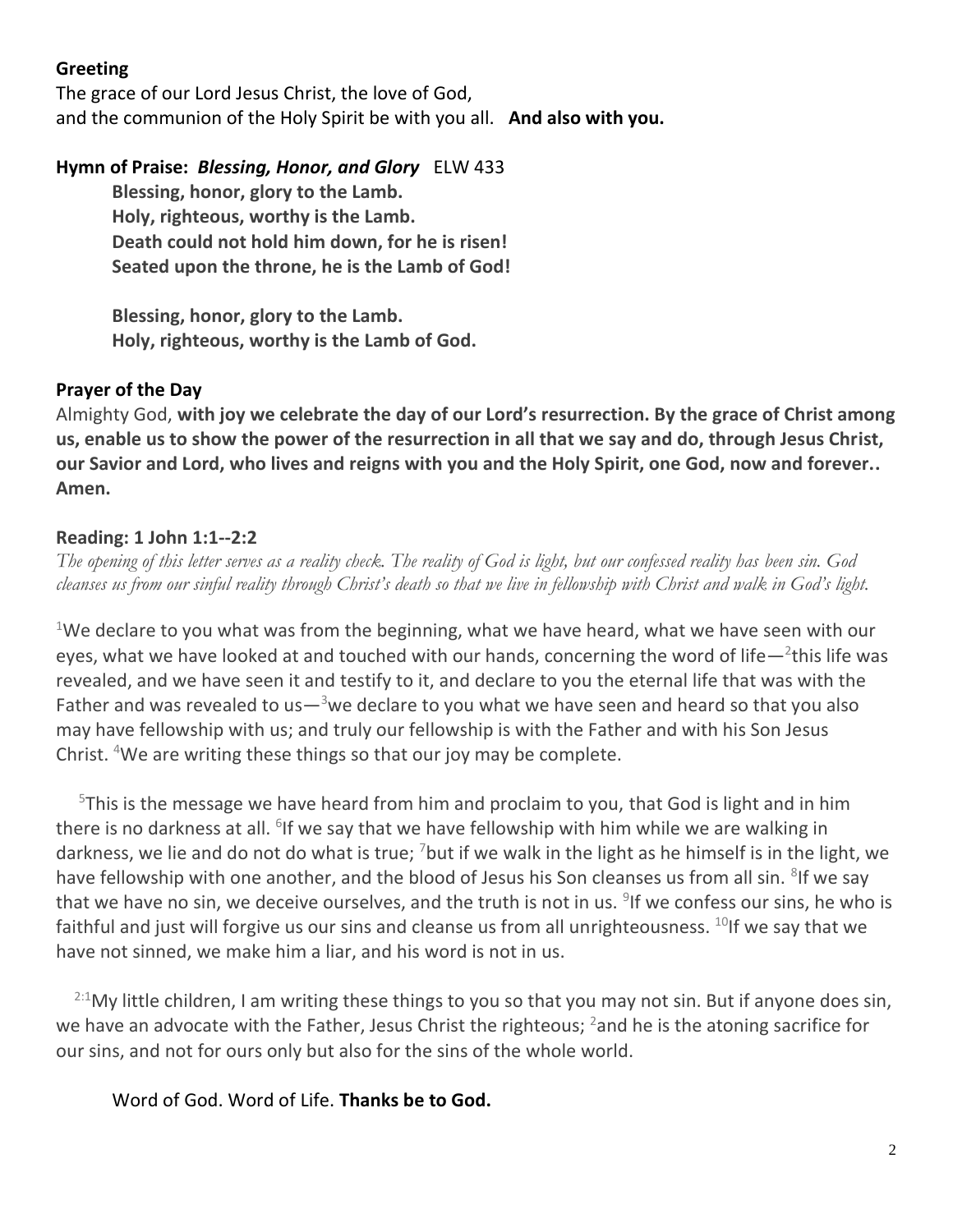# **Greeting**

The grace of our Lord Jesus Christ, the love of God, and the communion of the Holy Spirit be with you all. **And also with you.**

# **Hymn of Praise:** *Blessing, Honor, and Glory* ELW 433

**Blessing, honor, glory to the Lamb. Holy, righteous, worthy is the Lamb. Death could not hold him down, for he is risen! Seated upon the throne, he is the Lamb of God!**

**Blessing, honor, glory to the Lamb. Holy, righteous, worthy is the Lamb of God.** 

# **Prayer of the Day**

Almighty God, **with joy we celebrate the day of our Lord's resurrection. By the grace of Christ among us, enable us to show the power of the resurrection in all that we say and do, through Jesus Christ, our Savior and Lord, who lives and reigns with you and the Holy Spirit, one God, now and forever.. Amen.**

# **Reading: 1 John 1:1--2:2**

*The opening of this letter serves as a reality check. The reality of God is light, but our confessed reality has been sin. God cleanses us from our sinful reality through Christ's death so that we live in fellowship with Christ and walk in God's light.*

<sup>1</sup>We declare to you what was from the beginning, what we have heard, what we have seen with our eyes, what we have looked at and touched with our hands, concerning the word of life $-$ <sup>2</sup>this life was revealed, and we have seen it and testify to it, and declare to you the eternal life that was with the Father and was revealed to us— $3$ we declare to you what we have seen and heard so that you also may have fellowship with us; and truly our fellowship is with the Father and with his Son Jesus Christ. <sup>4</sup>We are writing these things so that our joy may be complete.

 $5$ This is the message we have heard from him and proclaim to you, that God is light and in him there is no darkness at all. <sup>6</sup>If we say that we have fellowship with him while we are walking in darkness, we lie and do not do what is true; <sup>7</sup>but if we walk in the light as he himself is in the light, we have fellowship with one another, and the blood of Jesus his Son cleanses us from all sin. <sup>8</sup>lf we say that we have no sin, we deceive ourselves, and the truth is not in us. <sup>9</sup>If we confess our sins, he who is faithful and just will forgive us our sins and cleanse us from all unrighteousness.  $^{10}$ If we say that we have not sinned, we make him a liar, and his word is not in us.

 $^{2:1}$ My little children, I am writing these things to you so that you may not sin. But if anyone does sin, we have an advocate with the Father, Jesus Christ the righteous; <sup>2</sup> and he is the atoning sacrifice for our sins, and not for ours only but also for the sins of the whole world.

Word of God. Word of Life. **Thanks be to God.**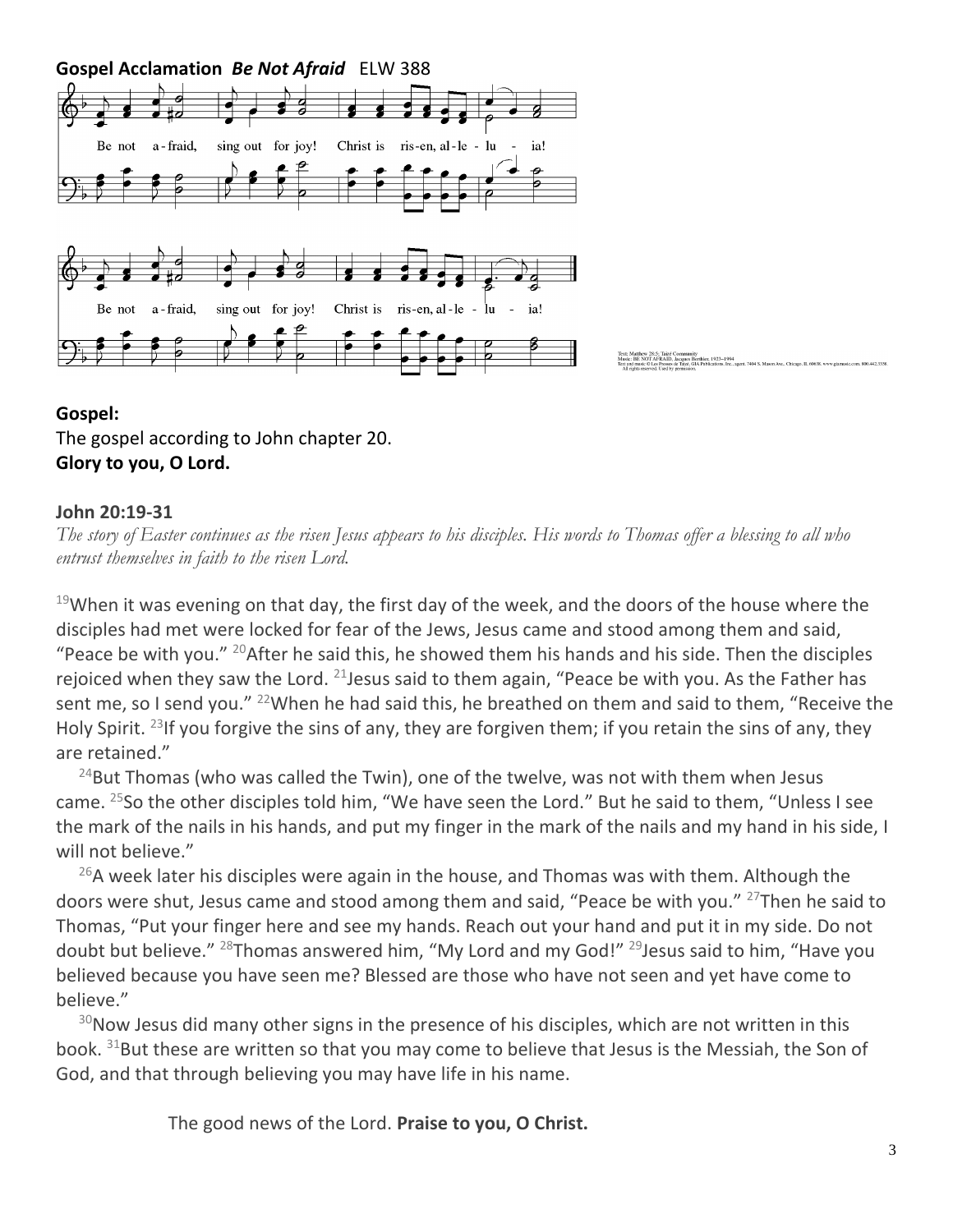**Gospel Acclamation** *Be Not Afraid* ELW 388



# **Gospel:** The gospel according to John chapter 20. **Glory to you, O Lord.**

#### **John 20:19-31**

*The story of Easter continues as the risen Jesus appears to his disciples. His words to Thomas offer a blessing to all who entrust themselves in faith to the risen Lord.*

 $19$ When it was evening on that day, the first day of the week, and the doors of the house where the disciples had met were locked for fear of the Jews, Jesus came and stood among them and said, "Peace be with you."  $^{20}$ After he said this, he showed them his hands and his side. Then the disciples rejoiced when they saw the Lord.  $21$  Jesus said to them again, "Peace be with you. As the Father has sent me, so I send you." <sup>22</sup>When he had said this, he breathed on them and said to them, "Receive the Holy Spirit. <sup>23</sup>If you forgive the sins of any, they are forgiven them; if you retain the sins of any, they are retained."

 $24$ But Thomas (who was called the Twin), one of the twelve, was not with them when Jesus came. <sup>25</sup>So the other disciples told him, "We have seen the Lord." But he said to them, "Unless I see the mark of the nails in his hands, and put my finger in the mark of the nails and my hand in his side, I will not believe."

 $^{26}$ A week later his disciples were again in the house, and Thomas was with them. Although the doors were shut, Jesus came and stood among them and said, "Peace be with you." <sup>27</sup>Then he said to Thomas, "Put your finger here and see my hands. Reach out your hand and put it in my side. Do not doubt but believe." <sup>28</sup>Thomas answered him, "My Lord and my God!" <sup>29</sup> Jesus said to him, "Have you believed because you have seen me? Blessed are those who have not seen and yet have come to believe."

 $30$ Now Jesus did many other signs in the presence of his disciples, which are not written in this book. <sup>31</sup>But these are written so that you may come to believe that Jesus is the Messiah, the Son of God, and that through believing you may have life in his name.

The good news of the Lord. **Praise to you, O Christ.**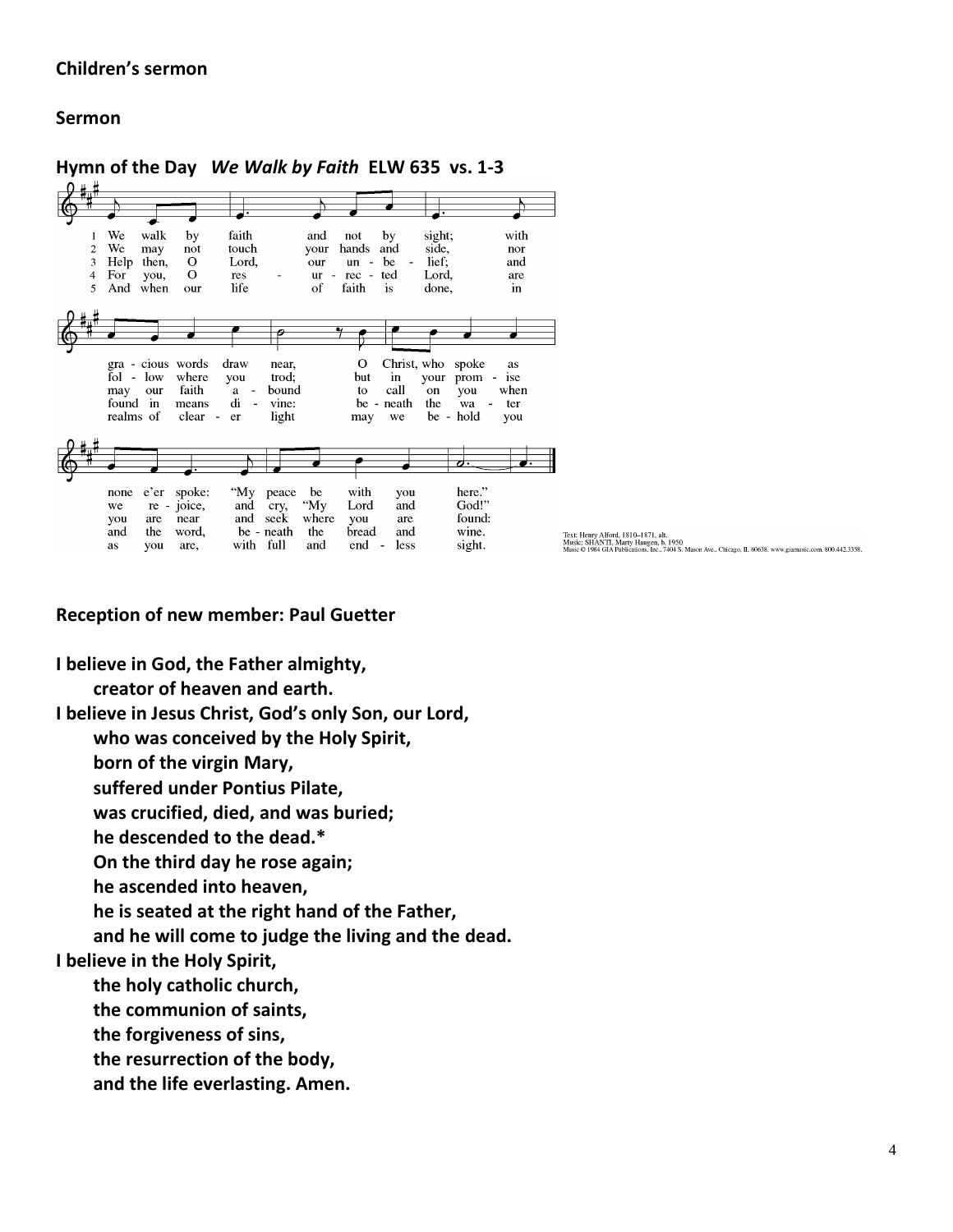#### **Children's sermon**

#### **Sermon**

**Hymn of the Day** *We Walk by Faith* **ELW 635 vs. 1-3** faith We walk by and sight: with  $\mathbf{1}$ not by We and  $\overline{2}$ touch hands side. may not vour nor  $\overline{\mathbf{3}}$ Help then,  $\mathbf O$ Lord, our  $un$ be lief; and For  $\mathbf O$  $\mathbf{r}$  $\operatorname{ted}$ Lord,  $\overline{4}$ you,  $res$  $ur$  $\overline{\phantom{a}}$ rec are life  $\overline{5}$ And when  $_{\rm OHF}$ of faith is done, in  $\overline{\boldsymbol{\rho}}$ z ◢  $\overline{O}$ Christ, who spoke gra - cious words<br>fol - low where draw near. as trod; but your ise you in prom may our faith  $a$ bound to call on vou when found in  $\mathrm{d} \mathrm{i}$ neath the means vine: be  $\overline{a}$ wa ter realms of clear  $\sim$  $er$ light may we.  $he$ hold you  $\overline{\bullet}$ <u>d.</u> ♪ "My here." none  $e'$ er spoke: peace be with vou God!" re - joice, and "My Lord and we cry. are and seek where you are found: vou near and the word, be - neath the bread and wine. as you are. with full and end  $\sim$ less sight.

Text: Henry Alford, 1810–1871, alt.<br>Music: SHANTI, Marty Haugen, b. 1950<br>Music © 1984 GIA Publications. Inc., 7404 S. Mason Ave., Chicago. IL 60638. www.giamusic.com. 800.442.3358.

**Reception of new member: Paul Guetter**

**I believe in God, the Father almighty,**

**creator of heaven and earth.**

**I believe in Jesus Christ, God's only Son, our Lord,**

**who was conceived by the Holy Spirit,**

**born of the virgin Mary,**

**suffered under Pontius Pilate,**

**was crucified, died, and was buried;**

**he descended to the dead.\***

**On the third day he rose again;**

**he ascended into heaven,**

**he is seated at the right hand of the Father,**

**and he will come to judge the living and the dead.**

**I believe in the Holy Spirit,**

**the holy catholic church,**

**the communion of saints,**

**the forgiveness of sins,**

**the resurrection of the body,**

**and the life everlasting. Amen.**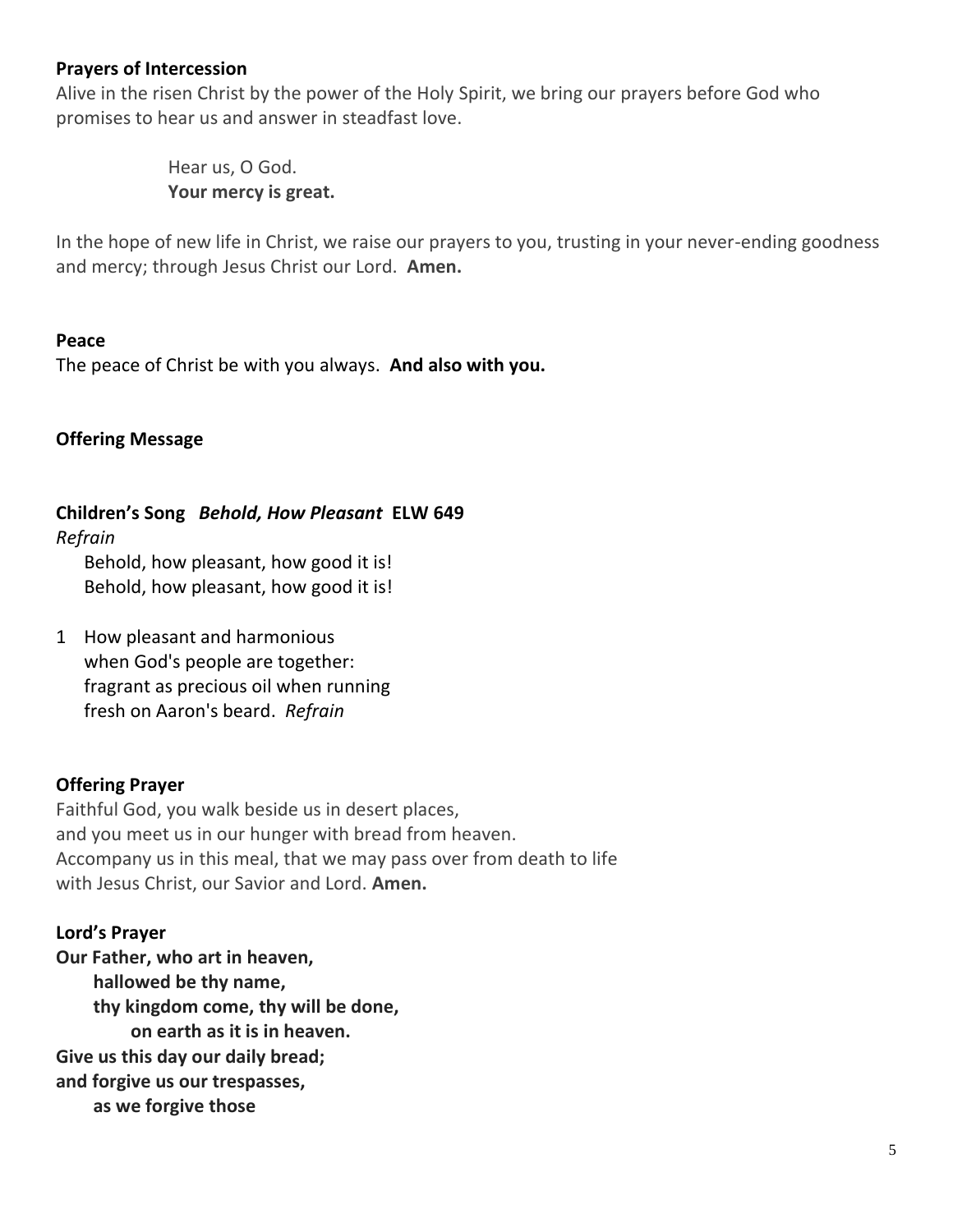## **Prayers of Intercession**

Alive in the risen Christ by the power of the Holy Spirit, we bring our prayers before God who promises to hear us and answer in steadfast love.

> Hear us, O God. **Your mercy is great.**

In the hope of new life in Christ, we raise our prayers to you, trusting in your never-ending goodness and mercy; through Jesus Christ our Lord. **Amen.**

#### **Peace**

The peace of Christ be with you always. **And also with you.**

### **Offering Message**

# **Children's Song** *Behold, How Pleasant* **ELW 649**

*Refrain*

Behold, how pleasant, how good it is! Behold, how pleasant, how good it is!

1 How pleasant and harmonious when God's people are together: fragrant as precious oil when running fresh on Aaron's beard. *Refrain*

# **Offering Prayer**

Faithful God, you walk beside us in desert places, and you meet us in our hunger with bread from heaven. Accompany us in this meal, that we may pass over from death to life with Jesus Christ, our Savior and Lord. **Amen.**

#### **Lord's Prayer**

**Our Father, who art in heaven, hallowed be thy name, thy kingdom come, thy will be done, on earth as it is in heaven. Give us this day our daily bread; and forgive us our trespasses, as we forgive those**